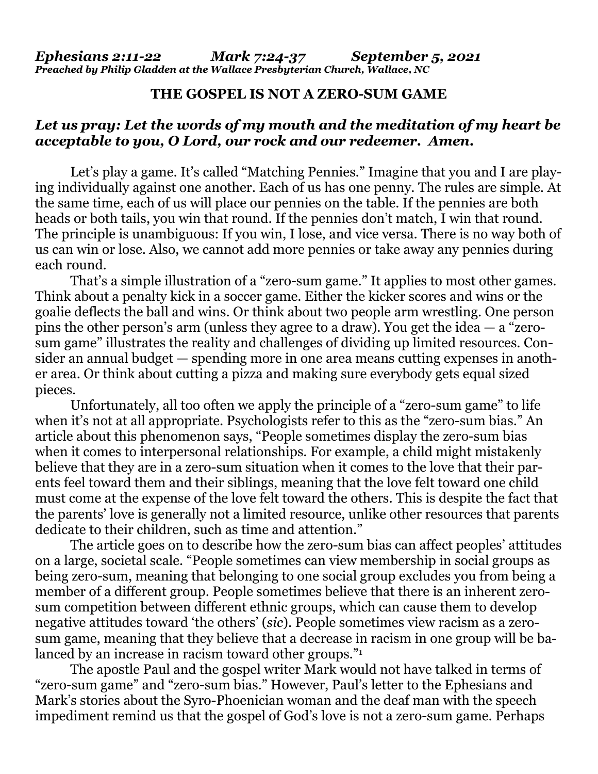## **THE GOSPEL IS NOT A ZERO-SUM GAME**

## *Let us pray: Let the words of my mouth and the meditation of my heart be acceptable to you, O Lord, our rock and our redeemer. Amen.*

Let's play a game. It's called "Matching Pennies." Imagine that you and I are playing individually against one another. Each of us has one penny. The rules are simple. At the same time, each of us will place our pennies on the table. If the pennies are both heads or both tails, you win that round. If the pennies don't match, I win that round. The principle is unambiguous: If you win, I lose, and vice versa. There is no way both of us can win or lose. Also, we cannot add more pennies or take away any pennies during each round.

 That's a simple illustration of a "zero-sum game." It applies to most other games. Think about a penalty kick in a soccer game. Either the kicker scores and wins or the goalie deflects the ball and wins. Or think about two people arm wrestling. One person pins the other person's arm (unless they agree to a draw). You get the idea  $-$  a "zerosum game" illustrates the reality and challenges of dividing up limited resources. Consider an annual budget — spending more in one area means cutting expenses in another area. Or think about cutting a pizza and making sure everybody gets equal sized pieces.

 Unfortunately, all too often we apply the principle of a "zero-sum game" to life when it's not at all appropriate. Psychologists refer to this as the "zero-sum bias." An article about this phenomenon says, "People sometimes display the zero-sum bias when it comes to interpersonal relationships. For example, a child might mistakenly believe that they are in a zero-sum situation when it comes to the love that their parents feel toward them and their siblings, meaning that the love felt toward one child must come at the expense of the love felt toward the others. This is despite the fact that the parents' love is generally not a limited resource, unlike other resources that parents dedicate to their children, such as time and attention."

 The article goes on to describe how the zero-sum bias can affect peoples' attitudes on a large, societal scale. "People sometimes can view membership in social groups as being zero-sum, meaning that belonging to one social group excludes you from being a member of a different group. People sometimes believe that there is an inherent zerosum competition between different ethnic groups, which can cause them to develop negative attitudes toward 'the others' (*sic*). People sometimes view racism as a zerosum game, meaning that they believe that a decrease in racism in one group will be balanced by an increase in racism toward other groups."<sup>1</sup>

The apostle Paul and the gospel writer Mark would not have talked in terms of "zero-sum game" and "zero-sum bias." However, Paul's letter to the Ephesians and Mark's stories about the Syro-Phoenician woman and the deaf man with the speech impediment remind us that the gospel of God's love is not a zero-sum game. Perhaps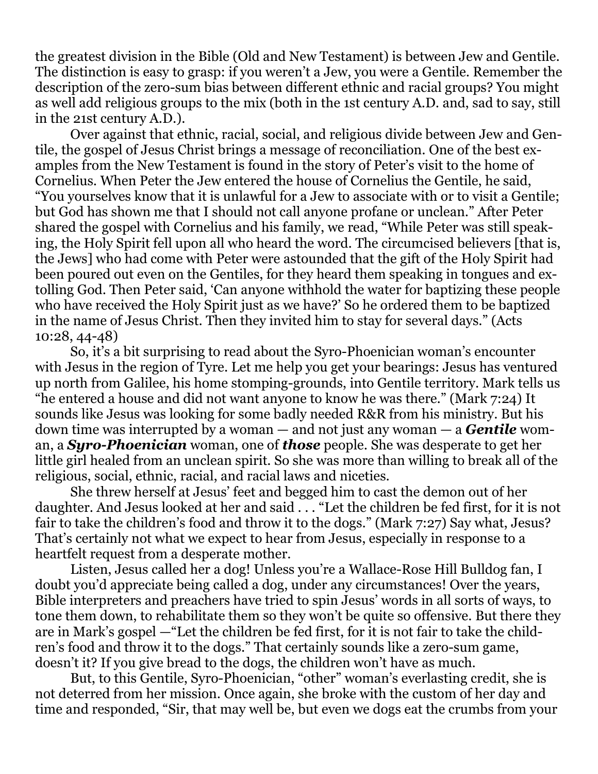the greatest division in the Bible (Old and New Testament) is between Jew and Gentile. The distinction is easy to grasp: if you weren't a Jew, you were a Gentile. Remember the description of the zero-sum bias between different ethnic and racial groups? You might as well add religious groups to the mix (both in the 1st century A.D. and, sad to say, still in the 21st century A.D.).

 Over against that ethnic, racial, social, and religious divide between Jew and Gentile, the gospel of Jesus Christ brings a message of reconciliation. One of the best examples from the New Testament is found in the story of Peter's visit to the home of Cornelius. When Peter the Jew entered the house of Cornelius the Gentile, he said, "You yourselves know that it is unlawful for a Jew to associate with or to visit a Gentile; but God has shown me that I should not call anyone profane or unclean." After Peter shared the gospel with Cornelius and his family, we read, "While Peter was still speaking, the Holy Spirit fell upon all who heard the word. The circumcised believers [that is, the Jews] who had come with Peter were astounded that the gift of the Holy Spirit had been poured out even on the Gentiles, for they heard them speaking in tongues and extolling God. Then Peter said, 'Can anyone withhold the water for baptizing these people who have received the Holy Spirit just as we have?' So he ordered them to be baptized in the name of Jesus Christ. Then they invited him to stay for several days." (Acts 10:28, 44-48)

 So, it's a bit surprising to read about the Syro-Phoenician woman's encounter with Jesus in the region of Tyre. Let me help you get your bearings: Jesus has ventured up north from Galilee, his home stomping-grounds, into Gentile territory. Mark tells us "he entered a house and did not want anyone to know he was there." (Mark 7:24) It sounds like Jesus was looking for some badly needed R&R from his ministry. But his down time was interrupted by a woman — and not just any woman — a *Gentile* woman, a *Syro-Phoenician* woman, one of *those* people. She was desperate to get her little girl healed from an unclean spirit. So she was more than willing to break all of the religious, social, ethnic, racial, and racial laws and niceties.

 She threw herself at Jesus' feet and begged him to cast the demon out of her daughter. And Jesus looked at her and said . . . "Let the children be fed first, for it is not fair to take the children's food and throw it to the dogs." (Mark 7:27) Say what, Jesus? That's certainly not what we expect to hear from Jesus, especially in response to a heartfelt request from a desperate mother.

 Listen, Jesus called her a dog! Unless you're a Wallace-Rose Hill Bulldog fan, I doubt you'd appreciate being called a dog, under any circumstances! Over the years, Bible interpreters and preachers have tried to spin Jesus' words in all sorts of ways, to tone them down, to rehabilitate them so they won't be quite so offensive. But there they are in Mark's gospel —"Let the children be fed first, for it is not fair to take the children's food and throw it to the dogs." That certainly sounds like a zero-sum game, doesn't it? If you give bread to the dogs, the children won't have as much.

 But, to this Gentile, Syro-Phoenician, "other" woman's everlasting credit, she is not deterred from her mission. Once again, she broke with the custom of her day and time and responded, "Sir, that may well be, but even we dogs eat the crumbs from your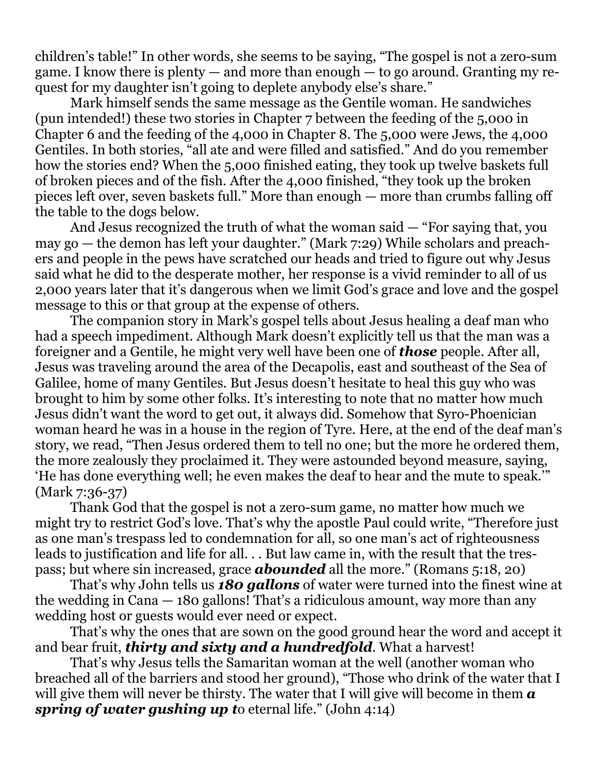children's table!" In other words, she seems to be saying, "The gospel is not a zero-sum game. I know there is plenty  $-$  and more than enough  $-$  to go around. Granting my request for my daughter isn't going to deplete anybody else's share."

 Mark himself sends the same message as the Gentile woman. He sandwiches (pun intended!) these two stories in Chapter 7 between the feeding of the 5,000 in Chapter 6 and the feeding of the 4,000 in Chapter 8. The 5,000 were Jews, the 4,000 Gentiles. In both stories, "all ate and were filled and satisfied." And do you remember how the stories end? When the 5,000 finished eating, they took up twelve baskets full of broken pieces and of the fish. After the 4,000 finished, "they took up the broken pieces left over, seven baskets full." More than enough — more than crumbs falling off the table to the dogs below.

 And Jesus recognized the truth of what the woman said — "For saying that, you may go — the demon has left your daughter." (Mark 7:29) While scholars and preachers and people in the pews have scratched our heads and tried to figure out why Jesus said what he did to the desperate mother, her response is a vivid reminder to all of us 2,000 years later that it's dangerous when we limit God's grace and love and the gospel message to this or that group at the expense of others.

 The companion story in Mark's gospel tells about Jesus healing a deaf man who had a speech impediment. Although Mark doesn't explicitly tell us that the man was a foreigner and a Gentile, he might very well have been one of *those* people. After all, Jesus was traveling around the area of the Decapolis, east and southeast of the Sea of Galilee, home of many Gentiles. But Jesus doesn't hesitate to heal this guy who was brought to him by some other folks. It's interesting to note that no matter how much Jesus didn't want the word to get out, it always did. Somehow that Syro-Phoenician woman heard he was in a house in the region of Tyre. Here, at the end of the deaf man's story, we read, "Then Jesus ordered them to tell no one; but the more he ordered them, the more zealously they proclaimed it. They were astounded beyond measure, saying, 'He has done everything well; he even makes the deaf to hear and the mute to speak.'" (Mark 7:36-37)

 Thank God that the gospel is not a zero-sum game, no matter how much we might try to restrict God's love. That's why the apostle Paul could write, "Therefore just as one man's trespass led to condemnation for all, so one man's act of righteousness leads to justification and life for all. . . But law came in, with the result that the trespass; but where sin increased, grace *abounded* all the more." (Romans 5:18, 20)

 That's why John tells us *180 gallons* of water were turned into the finest wine at the wedding in Cana — 180 gallons! That's a ridiculous amount, way more than any wedding host or guests would ever need or expect.

 That's why the ones that are sown on the good ground hear the word and accept it and bear fruit, *thirty and sixty and a hundredfold*. What a harvest!

 That's why Jesus tells the Samaritan woman at the well (another woman who breached all of the barriers and stood her ground), "Those who drink of the water that I will give them will never be thirsty. The water that I will give will become in them *a spring of water gushing up t*o eternal life." (John 4:14)